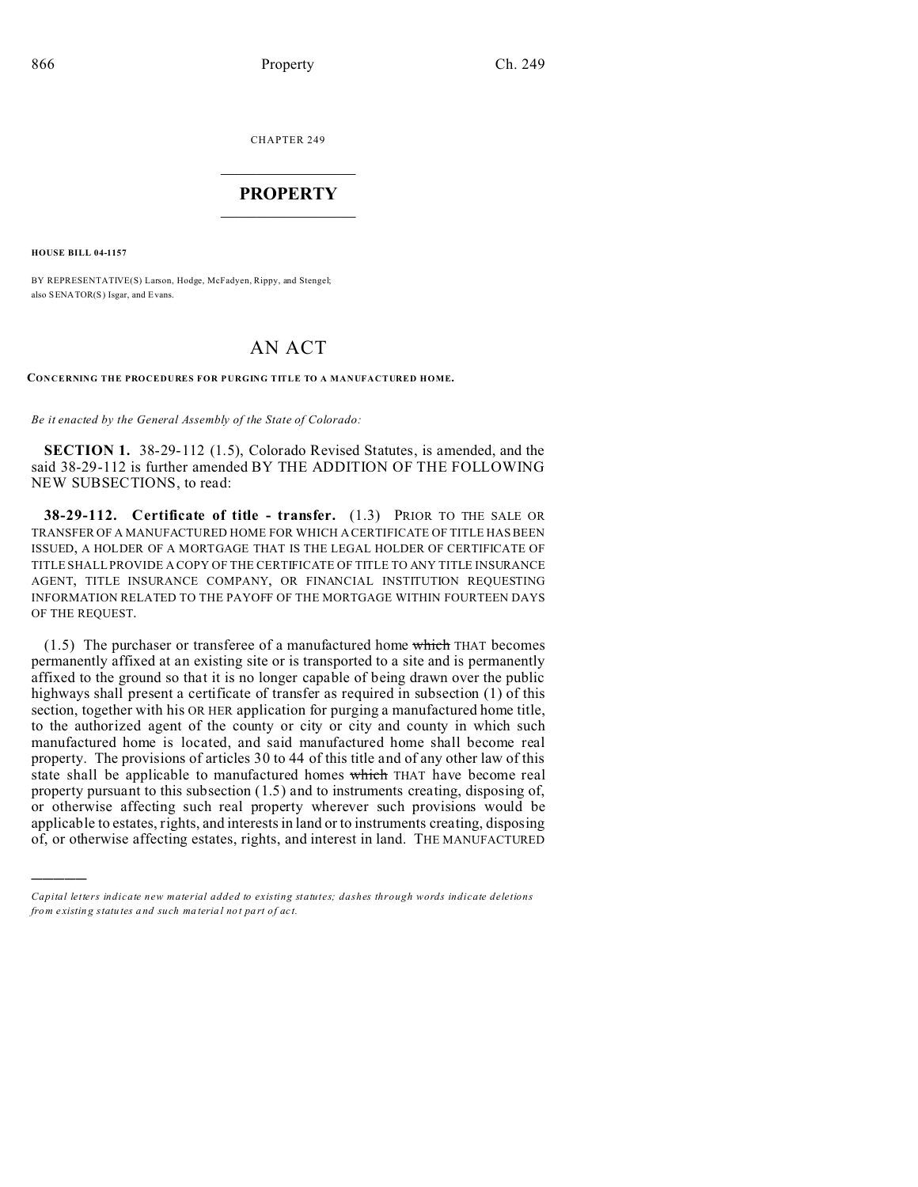CHAPTER 249  $\overline{\phantom{a}}$  , where  $\overline{\phantom{a}}$ 

## **PROPERTY**  $\_$   $\_$   $\_$   $\_$   $\_$   $\_$   $\_$   $\_$   $\_$   $\_$

**HOUSE BILL 04-1157**

)))))

BY REPRESENTATIVE(S) Larson, Hodge, McFadyen, Rippy, and Stengel; also SENATOR(S) Isgar, and Evans.

# AN ACT

#### **CONCERNING THE PROCEDURES FOR PURGING TITLE TO A MANUFACTURED HOME.**

*Be it enacted by the General Assembly of the State of Colorado:*

**SECTION 1.** 38-29-112 (1.5), Colorado Revised Statutes, is amended, and the said 38-29-112 is further amended BY THE ADDITION OF THE FOLLOWING NEW SUBSECTIONS, to read:

**38-29-112. Certificate of title - transfer.** (1.3) PRIOR TO THE SALE OR TRANSFER OF A MANUFACTURED HOME FOR WHICH A CERTIFICATE OF TITLE HAS BEEN ISSUED, A HOLDER OF A MORTGAGE THAT IS THE LEGAL HOLDER OF CERTIFICATE OF TITLE SHALL PROVIDE A COPY OF THE CERTIFICATE OF TITLE TO ANY TITLE INSURANCE AGENT, TITLE INSURANCE COMPANY, OR FINANCIAL INSTITUTION REQUESTING INFORMATION RELATED TO THE PAYOFF OF THE MORTGAGE WITHIN FOURTEEN DAYS OF THE REQUEST.

 $(1.5)$  The purchaser or transferee of a manufactured home which THAT becomes permanently affixed at an existing site or is transported to a site and is permanently affixed to the ground so that it is no longer capable of being drawn over the public highways shall present a certificate of transfer as required in subsection (1) of this section, together with his OR HER application for purging a manufactured home title, to the authorized agent of the county or city or city and county in which such manufactured home is located, and said manufactured home shall become real property. The provisions of articles 30 to 44 of this title and of any other law of this state shall be applicable to manufactured homes which THAT have become real property pursuant to this subsection (1.5) and to instruments creating, disposing of, or otherwise affecting such real property wherever such provisions would be applicable to estates, rights, and interests in land or to instruments creating, disposing of, or otherwise affecting estates, rights, and interest in land. THE MANUFACTURED

*Capital letters indicate new material added to existing statutes; dashes through words indicate deletions from e xistin g statu tes a nd such ma teria l no t pa rt of ac t.*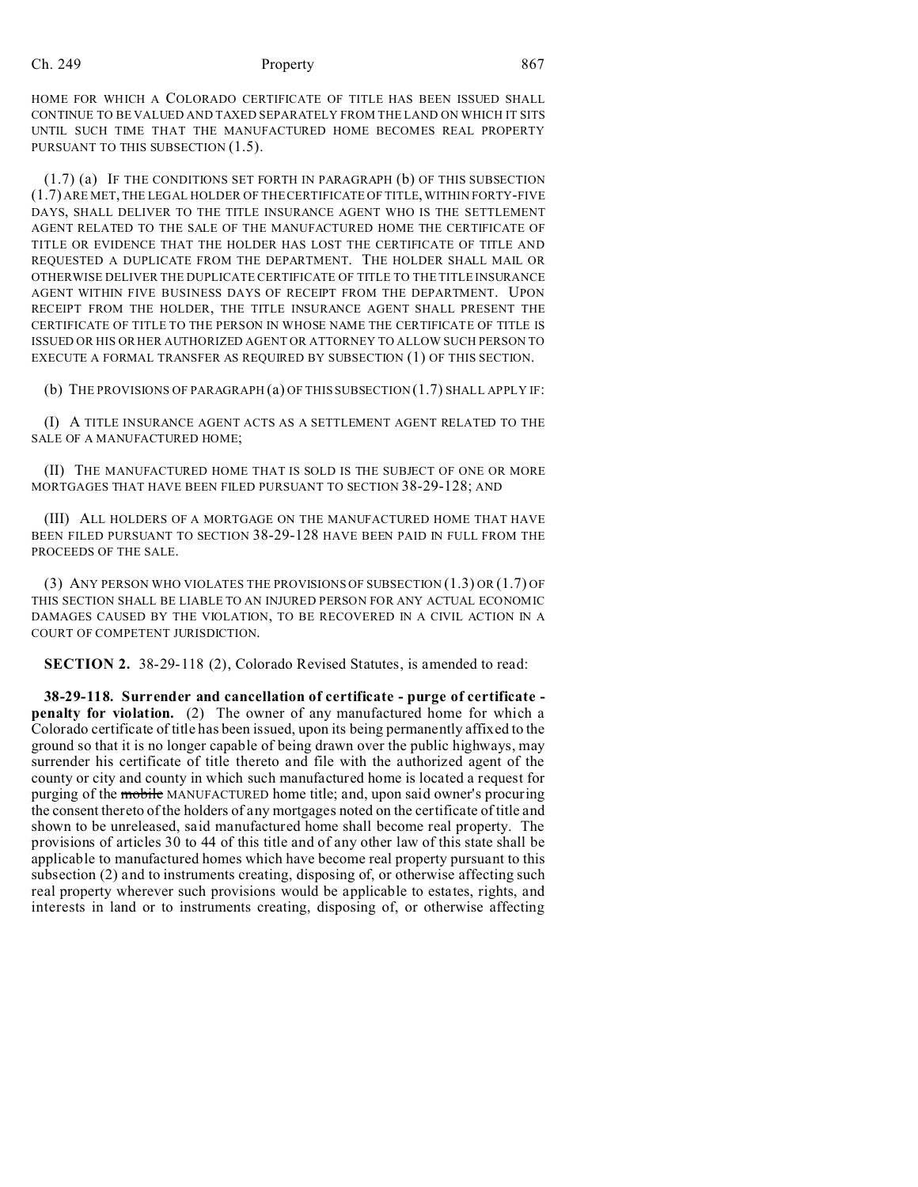### Ch. 249 **Property Property** 867

HOME FOR WHICH A COLORADO CERTIFICATE OF TITLE HAS BEEN ISSUED SHALL CONTINUE TO BE VALUED AND TAXED SEPARATELY FROM THE LAND ON WHICH IT SITS UNTIL SUCH TIME THAT THE MANUFACTURED HOME BECOMES REAL PROPERTY PURSUANT TO THIS SUBSECTION  $(1.5)$ .

(1.7) (a) IF THE CONDITIONS SET FORTH IN PARAGRAPH (b) OF THIS SUBSECTION (1.7) ARE MET, THE LEGAL HOLDER OF THE CERTIFICATE OF TITLE, WITHIN FORTY-FIVE DAYS, SHALL DELIVER TO THE TITLE INSURANCE AGENT WHO IS THE SETTLEMENT AGENT RELATED TO THE SALE OF THE MANUFACTURED HOME THE CERTIFICATE OF TITLE OR EVIDENCE THAT THE HOLDER HAS LOST THE CERTIFICATE OF TITLE AND REQUESTED A DUPLICATE FROM THE DEPARTMENT. THE HOLDER SHALL MAIL OR OTHERWISE DELIVER THE DUPLICATE CERTIFICATE OF TITLE TO THE TITLE INSURANCE AGENT WITHIN FIVE BUSINESS DAYS OF RECEIPT FROM THE DEPARTMENT. UPON RECEIPT FROM THE HOLDER, THE TITLE INSURANCE AGENT SHALL PRESENT THE CERTIFICATE OF TITLE TO THE PERSON IN WHOSE NAME THE CERTIFICATE OF TITLE IS ISSUED OR HIS OR HER AUTHORIZED AGENT OR ATTORNEY TO ALLOW SUCH PERSON TO EXECUTE A FORMAL TRANSFER AS REQUIRED BY SUBSECTION (1) OF THIS SECTION.

(b) THE PROVISIONS OF PARAGRAPH (a) OF THIS SUBSECTION (1.7) SHALL APPLY IF:

(I) A TITLE INSURANCE AGENT ACTS AS A SETTLEMENT AGENT RELATED TO THE SALE OF A MANUFACTURED HOME;

(II) THE MANUFACTURED HOME THAT IS SOLD IS THE SUBJECT OF ONE OR MORE MORTGAGES THAT HAVE BEEN FILED PURSUANT TO SECTION 38-29-128; AND

(III) ALL HOLDERS OF A MORTGAGE ON THE MANUFACTURED HOME THAT HAVE BEEN FILED PURSUANT TO SECTION 38-29-128 HAVE BEEN PAID IN FULL FROM THE PROCEEDS OF THE SALE.

(3) ANY PERSON WHO VIOLATES THE PROVISIONS OF SUBSECTION (1.3) OR (1.7) OF THIS SECTION SHALL BE LIABLE TO AN INJURED PERSON FOR ANY ACTUAL ECONOMIC DAMAGES CAUSED BY THE VIOLATION, TO BE RECOVERED IN A CIVIL ACTION IN A COURT OF COMPETENT JURISDICTION.

**SECTION 2.** 38-29-118 (2), Colorado Revised Statutes, is amended to read:

**38-29-118. Surrender and cancellation of certificate - purge of certificate penalty for violation.** (2) The owner of any manufactured home for which a Colorado certificate of title has been issued, upon its being permanently affixed to the ground so that it is no longer capable of being drawn over the public highways, may surrender his certificate of title thereto and file with the authorized agent of the county or city and county in which such manufactured home is located a request for purging of the mobile MANUFACTURED home title; and, upon said owner's procuring the consent thereto of the holders of any mortgages noted on the certificate of title and shown to be unreleased, said manufactured home shall become real property. The provisions of articles 30 to 44 of this title and of any other law of this state shall be applicable to manufactured homes which have become real property pursuant to this subsection (2) and to instruments creating, disposing of, or otherwise affecting such real property wherever such provisions would be applicable to estates, rights, and interests in land or to instruments creating, disposing of, or otherwise affecting